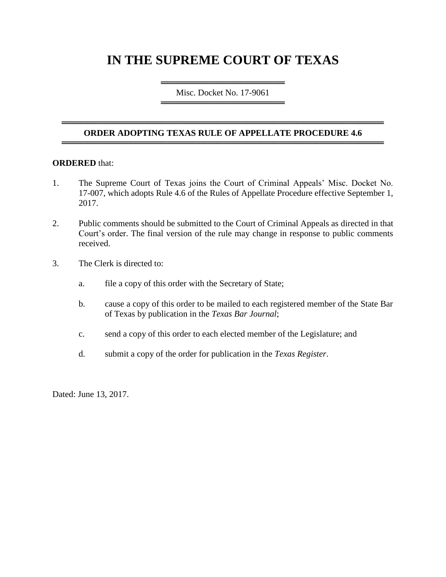# **IN THE SUPREME COURT OF TEXAS**

════════════════════════════════════ Misc. Docket No. 17-9061 ═════════════════════════════════════

### ════════════════════════════════════════════════════ **ORDER ADOPTING TEXAS RULE OF APPELLATE PROCEDURE 4.6** ════════════════════════════════════════════════════

#### **ORDERED** that:

- 1. The Supreme Court of Texas joins the Court of Criminal Appeals' Misc. Docket No. 17-007, which adopts Rule 4.6 of the Rules of Appellate Procedure effective September 1, 2017.
- 2. Public comments should be submitted to the Court of Criminal Appeals as directed in that Court's order. The final version of the rule may change in response to public comments received.
- 3. The Clerk is directed to:
	- a. file a copy of this order with the Secretary of State;
	- b. cause a copy of this order to be mailed to each registered member of the State Bar of Texas by publication in the *Texas Bar Journal*;
	- c. send a copy of this order to each elected member of the Legislature; and
	- d. submit a copy of the order for publication in the *Texas Register*.

Dated: June 13, 2017.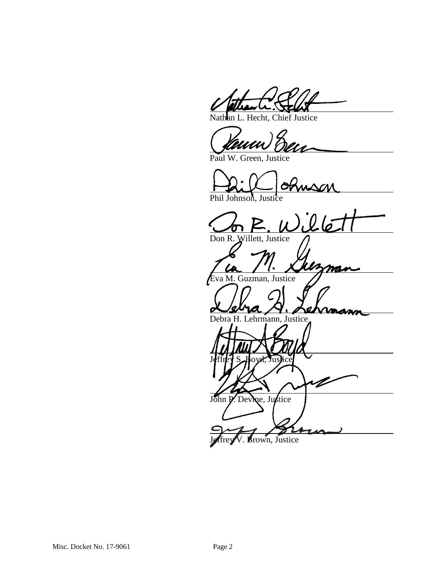Hecht, Chief Justice

Paul W. Green, Justice

Phil Johnson, Justice

nson<br>il lé

mas

Don R. Willett, Justice

va M. Guzman, Justice

Debra H. Lehrmann, Justice

Jeffrey S. Hoyd, Justice John P. Devine, Justice

Brown, Justice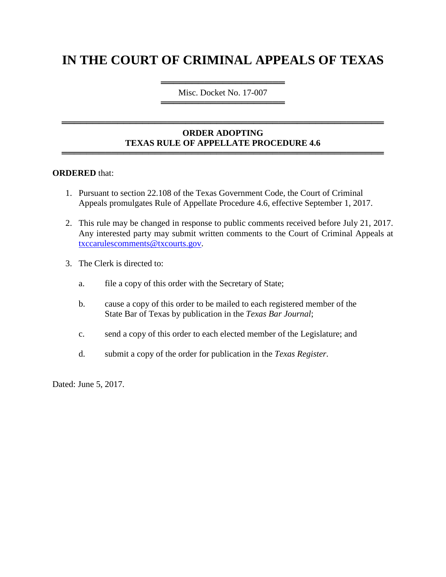# **IN THE COURT OF CRIMINAL APPEALS OF TEXAS**

════════════════════ Misc. Docket No. 17-007 ════════════════════

## **ORDER ADOPTING TEXAS RULE OF APPELLATE PROCEDURE 4.6**

════════════════════════════════════════════════════

════════════════════════════════════════════════════

#### **ORDERED** that:

- 1. Pursuant to section 22.108 of the Texas Government Code, the Court of Criminal Appeals promulgates Rule of Appellate Procedure 4.6, effective September 1, 2017.
- 2. This rule may be changed in response to public comments received before July 21, 2017. Any interested party may submit written comments to the Court of Criminal Appeals at [txccarulescomments@txcourts.gov.](mailto:txccarulescomments@txcourts.gov)
- 3. The Clerk is directed to:
	- a. file a copy of this order with the Secretary of State;
	- b. cause a copy of this order to be mailed to each registered member of the State Bar of Texas by publication in the *Texas Bar Journal*;
	- c. send a copy of this order to each elected member of the Legislature; and
	- d. submit a copy of the order for publication in the *Texas Register*.

Dated: June 5, 2017.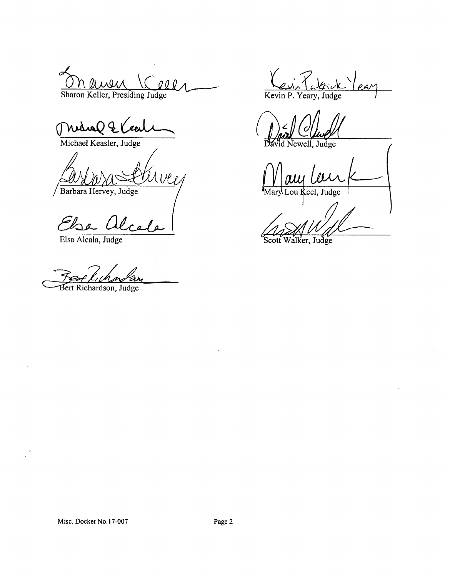Sharon Keller, Presiding Judge  $QQQ$ 

Which & C ſ

Michael Keasler, Judge

Barbara Hervey, Judge

Else Alcale

 $\prec$ 

Bert Richardson, Judge

 $\frac{1}{\text{Kevin P. Yeary, Judge}}$ 

Judge

Judge Scott ker,